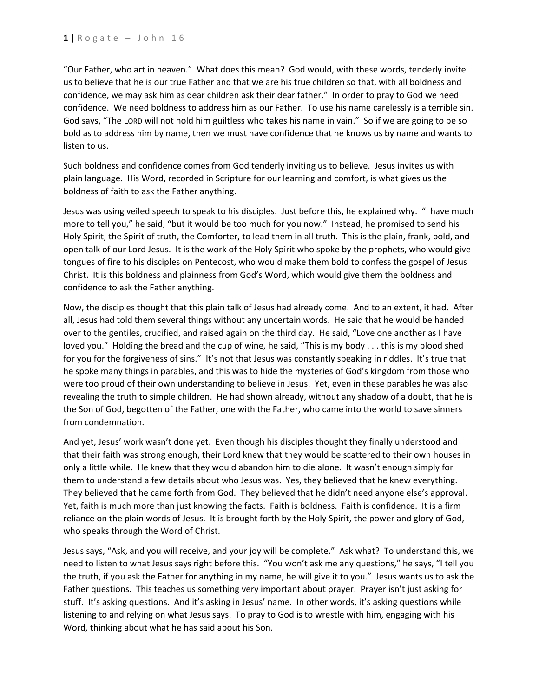"Our Father, who art in heaven." What does this mean? God would, with these words, tenderly invite us to believe that he is our true Father and that we are his true children so that, with all boldness and confidence, we may ask him as dear children ask their dear father." In order to pray to God we need confidence. We need boldness to address him as our Father. To use his name carelessly is a terrible sin. God says, "The LORD will not hold him guiltless who takes his name in vain." So if we are going to be so bold as to address him by name, then we must have confidence that he knows us by name and wants to listen to us.

Such boldness and confidence comes from God tenderly inviting us to believe. Jesus invites us with plain language. His Word, recorded in Scripture for our learning and comfort, is what gives us the boldness of faith to ask the Father anything.

Jesus was using veiled speech to speak to his disciples. Just before this, he explained why. "I have much more to tell you," he said, "but it would be too much for you now." Instead, he promised to send his Holy Spirit, the Spirit of truth, the Comforter, to lead them in all truth. This is the plain, frank, bold, and open talk of our Lord Jesus. It is the work of the Holy Spirit who spoke by the prophets, who would give tongues of fire to his disciples on Pentecost, who would make them bold to confess the gospel of Jesus Christ. It is this boldness and plainness from God's Word, which would give them the boldness and confidence to ask the Father anything.

Now, the disciples thought that this plain talk of Jesus had already come. And to an extent, it had. After all, Jesus had told them several things without any uncertain words. He said that he would be handed over to the gentiles, crucified, and raised again on the third day. He said, "Love one another as I have loved you." Holding the bread and the cup of wine, he said, "This is my body . . . this is my blood shed for you for the forgiveness of sins." It's not that Jesus was constantly speaking in riddles. It's true that he spoke many things in parables, and this was to hide the mysteries of God's kingdom from those who were too proud of their own understanding to believe in Jesus. Yet, even in these parables he was also revealing the truth to simple children. He had shown already, without any shadow of a doubt, that he is the Son of God, begotten of the Father, one with the Father, who came into the world to save sinners from condemnation.

And yet, Jesus' work wasn't done yet. Even though his disciples thought they finally understood and that their faith was strong enough, their Lord knew that they would be scattered to their own houses in only a little while. He knew that they would abandon him to die alone. It wasn't enough simply for them to understand a few details about who Jesus was. Yes, they believed that he knew everything. They believed that he came forth from God. They believed that he didn't need anyone else's approval. Yet, faith is much more than just knowing the facts. Faith is boldness. Faith is confidence. It is a firm reliance on the plain words of Jesus. It is brought forth by the Holy Spirit, the power and glory of God, who speaks through the Word of Christ.

Jesus says, "Ask, and you will receive, and your joy will be complete." Ask what? To understand this, we need to listen to what Jesus says right before this. "You won't ask me any questions," he says, "I tell you the truth, if you ask the Father for anything in my name, he will give it to you." Jesus wants us to ask the Father questions. This teaches us something very important about prayer. Prayer isn't just asking for stuff. It's asking questions. And it's asking in Jesus' name. In other words, it's asking questions while listening to and relying on what Jesus says. To pray to God is to wrestle with him, engaging with his Word, thinking about what he has said about his Son.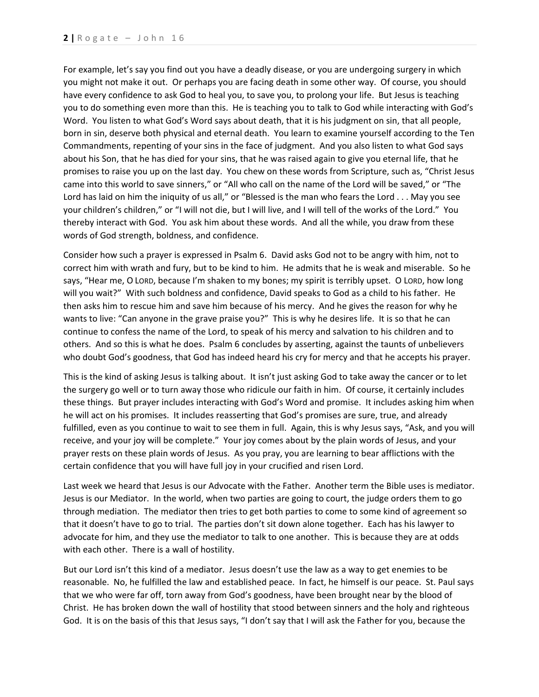For example, let's say you find out you have a deadly disease, or you are undergoing surgery in which you might not make it out. Or perhaps you are facing death in some other way. Of course, you should have every confidence to ask God to heal you, to save you, to prolong your life. But Jesus is teaching you to do something even more than this. He is teaching you to talk to God while interacting with God's Word. You listen to what God's Word says about death, that it is his judgment on sin, that all people, born in sin, deserve both physical and eternal death. You learn to examine yourself according to the Ten Commandments, repenting of your sins in the face of judgment. And you also listen to what God says about his Son, that he has died for your sins, that he was raised again to give you eternal life, that he promises to raise you up on the last day. You chew on these words from Scripture, such as, "Christ Jesus came into this world to save sinners," or "All who call on the name of the Lord will be saved," or "The Lord has laid on him the iniquity of us all," or "Blessed is the man who fears the Lord . . . May you see your children's children," or "I will not die, but I will live, and I will tell of the works of the Lord." You thereby interact with God. You ask him about these words. And all the while, you draw from these words of God strength, boldness, and confidence.

Consider how such a prayer is expressed in Psalm 6. David asks God not to be angry with him, not to correct him with wrath and fury, but to be kind to him. He admits that he is weak and miserable. So he says, "Hear me, O LORD, because I'm shaken to my bones; my spirit is terribly upset. O LORD, how long will you wait?" With such boldness and confidence, David speaks to God as a child to his father. He then asks him to rescue him and save him because of his mercy. And he gives the reason for why he wants to live: "Can anyone in the grave praise you?" This is why he desires life. It is so that he can continue to confess the name of the Lord, to speak of his mercy and salvation to his children and to others. And so this is what he does. Psalm 6 concludes by asserting, against the taunts of unbelievers who doubt God's goodness, that God has indeed heard his cry for mercy and that he accepts his prayer.

This is the kind of asking Jesus is talking about. It isn't just asking God to take away the cancer or to let the surgery go well or to turn away those who ridicule our faith in him. Of course, it certainly includes these things. But prayer includes interacting with God's Word and promise. It includes asking him when he will act on his promises. It includes reasserting that God's promises are sure, true, and already fulfilled, even as you continue to wait to see them in full. Again, this is why Jesus says, "Ask, and you will receive, and your joy will be complete." Your joy comes about by the plain words of Jesus, and your prayer rests on these plain words of Jesus. As you pray, you are learning to bear afflictions with the certain confidence that you will have full joy in your crucified and risen Lord.

Last week we heard that Jesus is our Advocate with the Father. Another term the Bible uses is mediator. Jesus is our Mediator. In the world, when two parties are going to court, the judge orders them to go through mediation. The mediator then tries to get both parties to come to some kind of agreement so that it doesn't have to go to trial. The parties don't sit down alone together. Each has his lawyer to advocate for him, and they use the mediator to talk to one another. This is because they are at odds with each other. There is a wall of hostility.

But our Lord isn't this kind of a mediator. Jesus doesn't use the law as a way to get enemies to be reasonable. No, he fulfilled the law and established peace. In fact, he himself is our peace. St. Paul says that we who were far off, torn away from God's goodness, have been brought near by the blood of Christ. He has broken down the wall of hostility that stood between sinners and the holy and righteous God. It is on the basis of this that Jesus says, "I don't say that I will ask the Father for you, because the